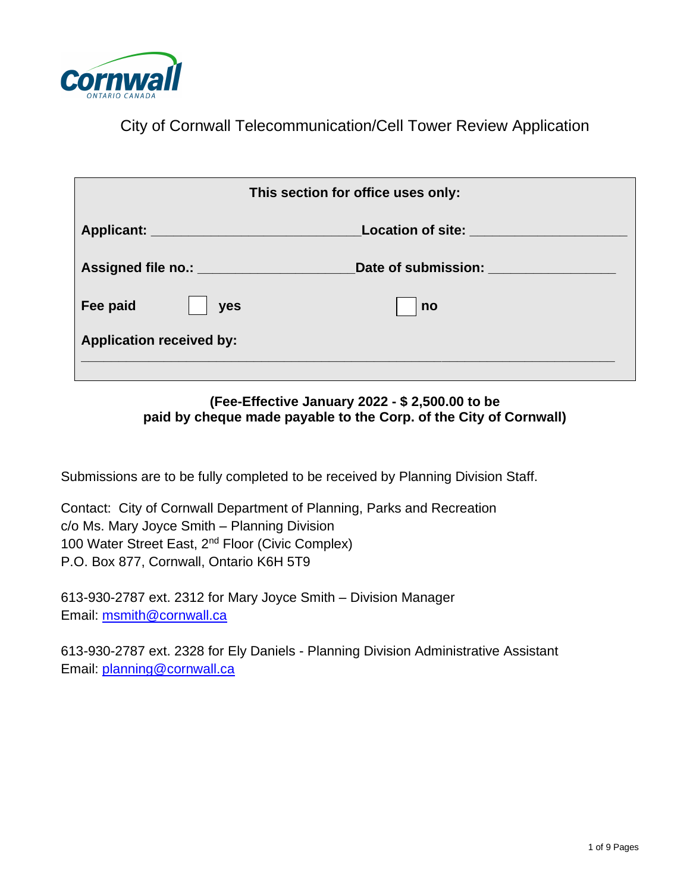

City of Cornwall Telecommunication/Cell Tower Review Application

|                                 | This section for office uses only: |
|---------------------------------|------------------------------------|
|                                 | Location of site: ______________   |
|                                 | Date of submission:                |
| Fee paid<br>yes                 | n <sub>o</sub>                     |
| <b>Application received by:</b> |                                    |
|                                 |                                    |

#### **(Fee-Effective January 2022 - \$ 2,500.00 to be paid by cheque made payable to the Corp. of the City of Cornwall)**

Submissions are to be fully completed to be received by Planning Division Staff.

Contact: City of Cornwall Department of Planning, Parks and Recreation c/o Ms. Mary Joyce Smith – Planning Division 100 Water Street East, 2<sup>nd</sup> Floor (Civic Complex) P.O. Box 877, Cornwall, Ontario K6H 5T9

613-930-2787 ext. 2312 for Mary Joyce Smith – Division Manager Email: [msmith@cornwall.ca](mailto:msmith@cornwall.ca)

613-930-2787 ext. 2328 for Ely Daniels - Planning Division Administrative Assistant Email: [planning@cornwall.ca](mailto:planning@cornwall.ca)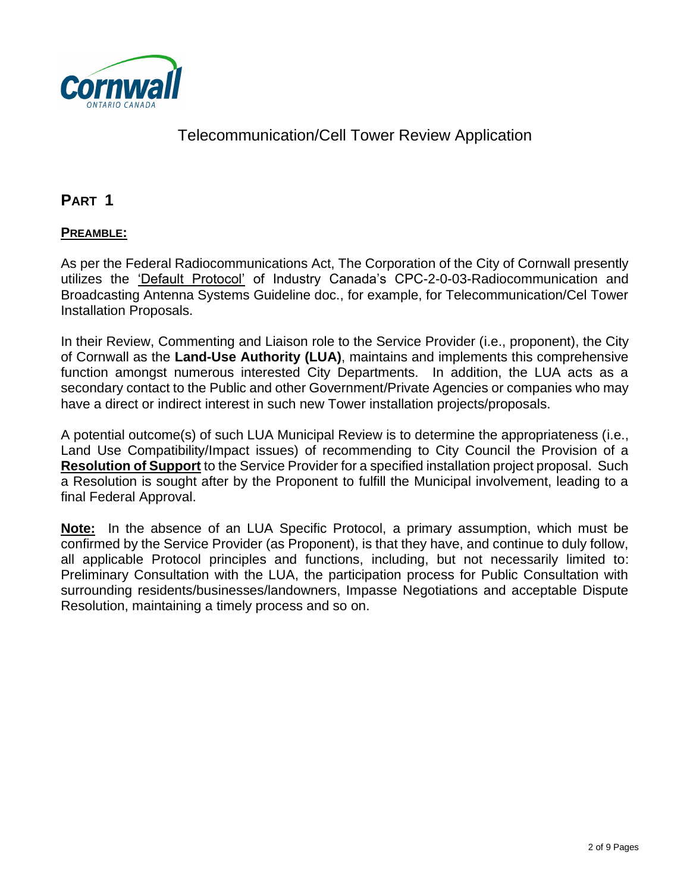

### **PART 1**

#### **PREAMBLE:**

As per the Federal Radiocommunications Act, The Corporation of the City of Cornwall presently utilizes the 'Default Protocol' of Industry Canada's CPC-2-0-03-Radiocommunication and Broadcasting Antenna Systems Guideline doc., for example, for Telecommunication/Cel Tower Installation Proposals.

In their Review, Commenting and Liaison role to the Service Provider (i.e., proponent), the City of Cornwall as the **Land-Use Authority (LUA)**, maintains and implements this comprehensive function amongst numerous interested City Departments. In addition, the LUA acts as a secondary contact to the Public and other Government/Private Agencies or companies who may have a direct or indirect interest in such new Tower installation projects/proposals.

A potential outcome(s) of such LUA Municipal Review is to determine the appropriateness (i.e., Land Use Compatibility/Impact issues) of recommending to City Council the Provision of a **Resolution of Support** to the Service Provider for a specified installation project proposal. Such a Resolution is sought after by the Proponent to fulfill the Municipal involvement, leading to a final Federal Approval.

**Note:** In the absence of an LUA Specific Protocol, a primary assumption, which must be confirmed by the Service Provider (as Proponent), is that they have, and continue to duly follow, all applicable Protocol principles and functions, including, but not necessarily limited to: Preliminary Consultation with the LUA, the participation process for Public Consultation with surrounding residents/businesses/landowners, Impasse Negotiations and acceptable Dispute Resolution, maintaining a timely process and so on.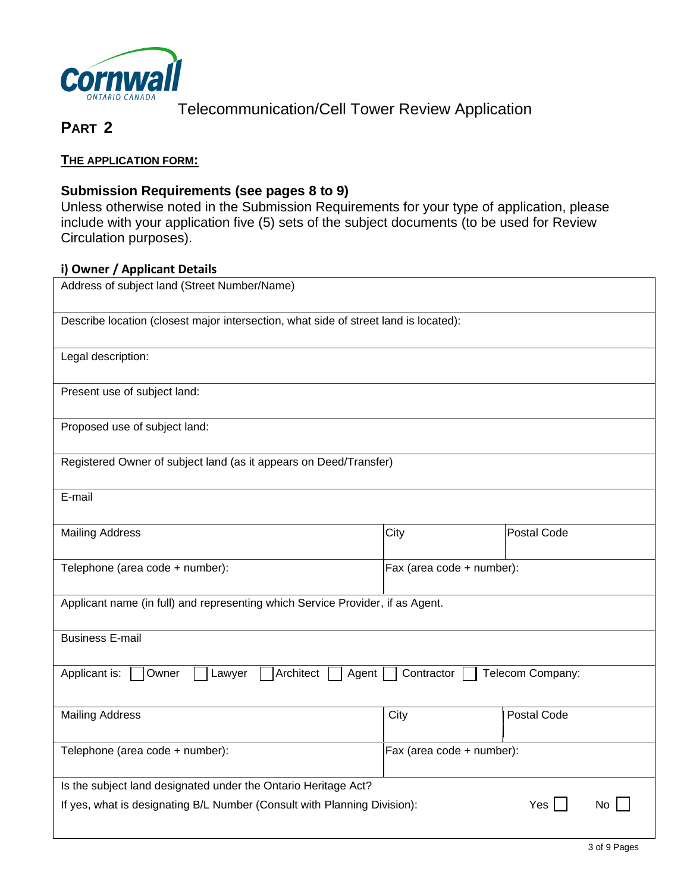

# **PART 2**

#### **THE APPLICATION FORM:**

#### **Submission Requirements (see pages 8 to 9)**

Unless otherwise noted in the Submission Requirements for your type of application, please include with your application five (5) sets of the subject documents (to be used for Review Circulation purposes).

#### **i) Owner / Applicant Details**

| Address of subject land (Street Number/Name)                                         |                           |                  |  |  |
|--------------------------------------------------------------------------------------|---------------------------|------------------|--|--|
| Describe location (closest major intersection, what side of street land is located): |                           |                  |  |  |
| Legal description:                                                                   |                           |                  |  |  |
| Present use of subject land:                                                         |                           |                  |  |  |
| Proposed use of subject land:                                                        |                           |                  |  |  |
| Registered Owner of subject land (as it appears on Deed/Transfer)                    |                           |                  |  |  |
| E-mail                                                                               |                           |                  |  |  |
| <b>Mailing Address</b>                                                               | City                      | Postal Code      |  |  |
| Telephone (area code + number):<br>Fax (area code + number):                         |                           |                  |  |  |
| Applicant name (in full) and representing which Service Provider, if as Agent.       |                           |                  |  |  |
| <b>Business E-mail</b>                                                               |                           |                  |  |  |
| Architect<br>Applicant is:<br>Owner<br>Agent<br>Lawyer                               | Contractor                | Telecom Company: |  |  |
| <b>Mailing Address</b>                                                               | City                      | Postal Code      |  |  |
| Telephone (area code + number):                                                      | Fax (area code + number): |                  |  |  |
| Is the subject land designated under the Ontario Heritage Act?                       |                           |                  |  |  |
| If yes, what is designating B/L Number (Consult with Planning Division):             |                           | Yes<br>No        |  |  |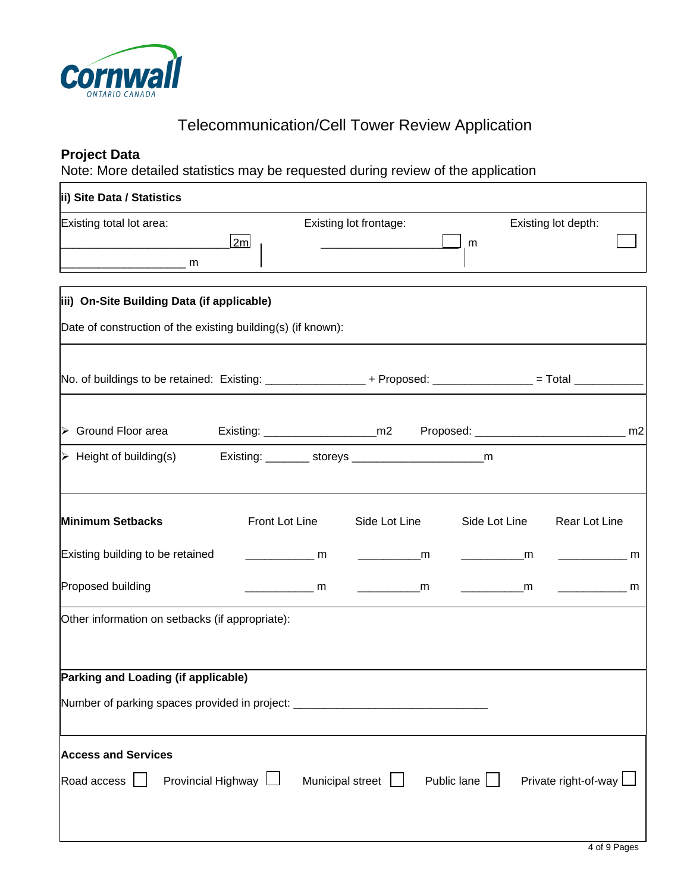

#### **Project Data**

Note: More detailed statistics may be requested during review of the application

| ii) Site Data / Statistics                                                                               |                 |                        |                    |                                                                            |  |
|----------------------------------------------------------------------------------------------------------|-----------------|------------------------|--------------------|----------------------------------------------------------------------------|--|
| Existing total lot area:<br>2m                                                                           |                 | Existing lot frontage: | m                  | Existing lot depth:                                                        |  |
|                                                                                                          |                 |                        |                    |                                                                            |  |
| iii) On-Site Building Data (if applicable)                                                               |                 |                        |                    |                                                                            |  |
| Date of construction of the existing building(s) (if known):                                             |                 |                        |                    |                                                                            |  |
| No. of buildings to be retained: Existing: __________________ + Proposed: _____________ = Total ________ |                 |                        |                    |                                                                            |  |
| $\triangleright$ Ground Floor area                                                                       |                 |                        |                    |                                                                            |  |
| $\triangleright$ Height of building(s)                                                                   |                 |                        |                    |                                                                            |  |
| <b>Minimum Setbacks</b>                                                                                  | Front Lot Line  | Side Lot Line          | Side Lot Line      | Rear Lot Line                                                              |  |
| Existing building to be retained                                                                         | $\frac{1}{2}$ m | $\sim$ m               | <b>Example 19</b>  | <u>mandan menunjukan menunjukan menunjukan kaliman pada anak atau seba</u> |  |
| Proposed building                                                                                        | $\frac{1}{2}$ m | $\frac{1}{2}$ m        | <b>Example 19</b>  | $\mathsf{m}$ and $\mathsf{m}$                                              |  |
| Other information on setbacks (if appropriate):                                                          |                 |                        |                    |                                                                            |  |
| Parking and Loading (if applicable)                                                                      |                 |                        |                    |                                                                            |  |
| Number of parking spaces provided in project: __________________________________                         |                 |                        |                    |                                                                            |  |
| <b>Access and Services</b><br>Provincial Highway $\Box$<br>Road access $\Box$                            |                 | Municipal street       | Public lane $\Box$ | Private right-of-way L                                                     |  |
|                                                                                                          |                 |                        |                    |                                                                            |  |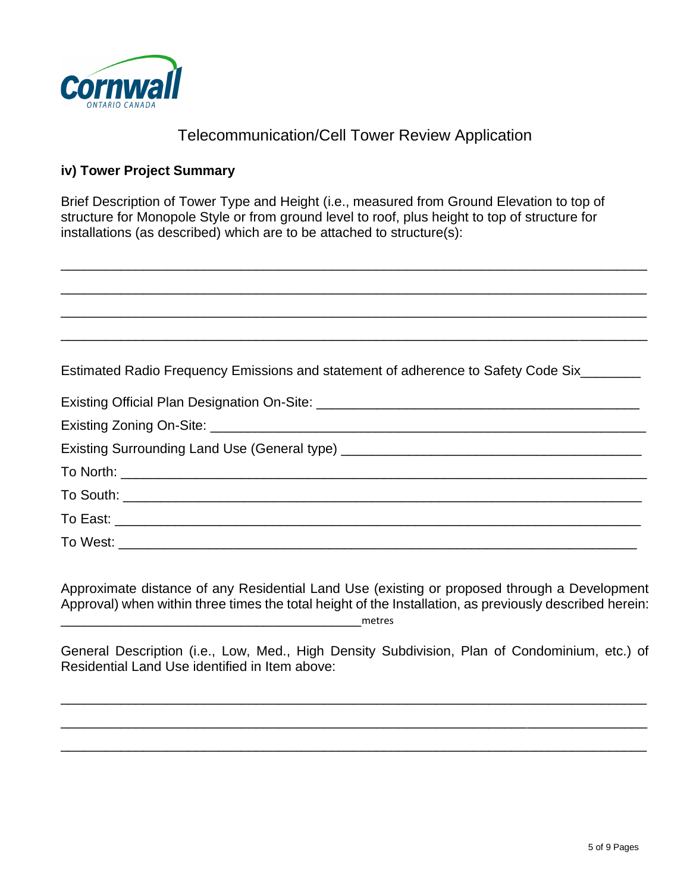

\_\_\_\_\_\_\_\_\_\_\_\_\_\_\_\_\_\_\_\_\_\_\_\_\_\_\_\_\_\_\_\_\_\_\_\_\_\_\_\_\_\_\_\_\_\_\_\_\_\_\_\_\_\_\_\_\_\_\_\_\_\_\_\_\_\_\_\_\_\_\_\_\_\_\_\_\_\_

#### **iv) Tower Project Summary**

Brief Description of Tower Type and Height (i.e., measured from Ground Elevation to top of structure for Monopole Style or from ground level to roof, plus height to top of structure for installations (as described) which are to be attached to structure(s):

| Estimated Radio Frequency Emissions and statement of adherence to Safety Code Six_______ |  |
|------------------------------------------------------------------------------------------|--|
|                                                                                          |  |
|                                                                                          |  |
|                                                                                          |  |
|                                                                                          |  |
|                                                                                          |  |
|                                                                                          |  |
|                                                                                          |  |

Approximate distance of any Residential Land Use (existing or proposed through a Development Approval) when within three times the total height of the Installation, as previously described herein: \_\_\_\_\_\_\_\_\_\_\_\_\_\_\_\_\_\_\_\_\_\_\_\_\_\_\_\_\_\_\_\_\_\_\_\_\_\_\_\_metres

General Description (i.e., Low, Med., High Density Subdivision, Plan of Condominium, etc.) of Residential Land Use identified in Item above:

\_\_\_\_\_\_\_\_\_\_\_\_\_\_\_\_\_\_\_\_\_\_\_\_\_\_\_\_\_\_\_\_\_\_\_\_\_\_\_\_\_\_\_\_\_\_\_\_\_\_\_\_\_\_\_\_\_\_\_\_\_\_\_\_\_\_\_\_\_\_\_\_\_\_\_\_\_\_

\_\_\_\_\_\_\_\_\_\_\_\_\_\_\_\_\_\_\_\_\_\_\_\_\_\_\_\_\_\_\_\_\_\_\_\_\_\_\_\_\_\_\_\_\_\_\_\_\_\_\_\_\_\_\_\_\_\_\_\_\_\_\_\_\_\_\_\_\_\_\_\_\_\_\_\_\_\_

\_\_\_\_\_\_\_\_\_\_\_\_\_\_\_\_\_\_\_\_\_\_\_\_\_\_\_\_\_\_\_\_\_\_\_\_\_\_\_\_\_\_\_\_\_\_\_\_\_\_\_\_\_\_\_\_\_\_\_\_\_\_\_\_\_\_\_\_\_\_\_\_\_\_\_\_\_\_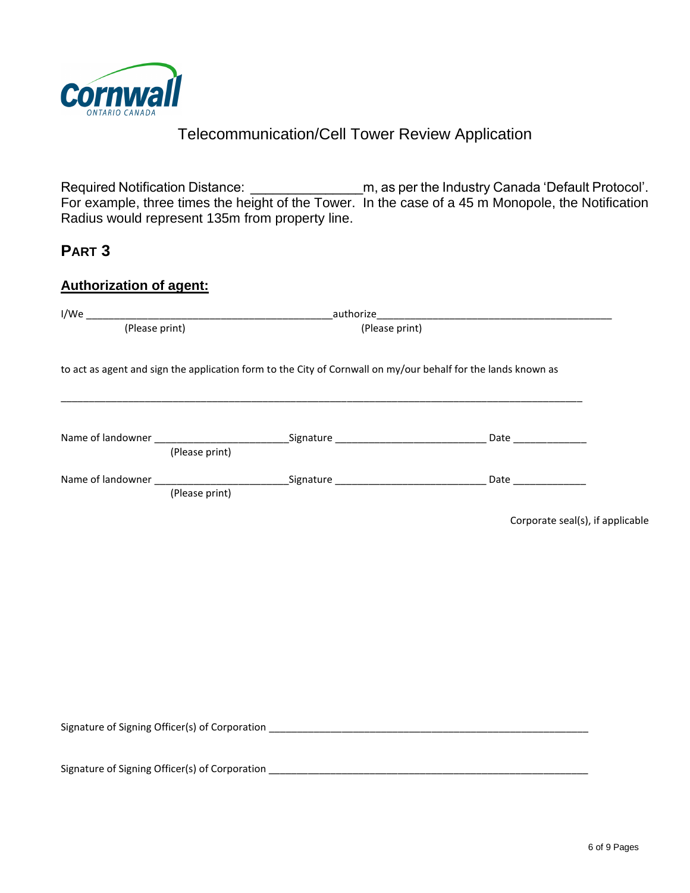

Required Notification Distance: \_\_\_\_\_\_\_\_\_\_\_\_\_\_\_m, as per the Industry Canada 'Default Protocol'. For example, three times the height of the Tower. In the case of a 45 m Monopole, the Notification Radius would represent 135m from property line.

### **PART 3**

#### **Authorization of agent:**

|  |                                                | to act as agent and sign the application form to the City of Cornwall on my/our behalf for the lands known as |                                  |
|--|------------------------------------------------|---------------------------------------------------------------------------------------------------------------|----------------------------------|
|  | (Please print)                                 |                                                                                                               |                                  |
|  |                                                |                                                                                                               |                                  |
|  |                                                |                                                                                                               | Corporate seal(s), if applicable |
|  | Signature of Signing Officer(s) of Corporation |                                                                                                               |                                  |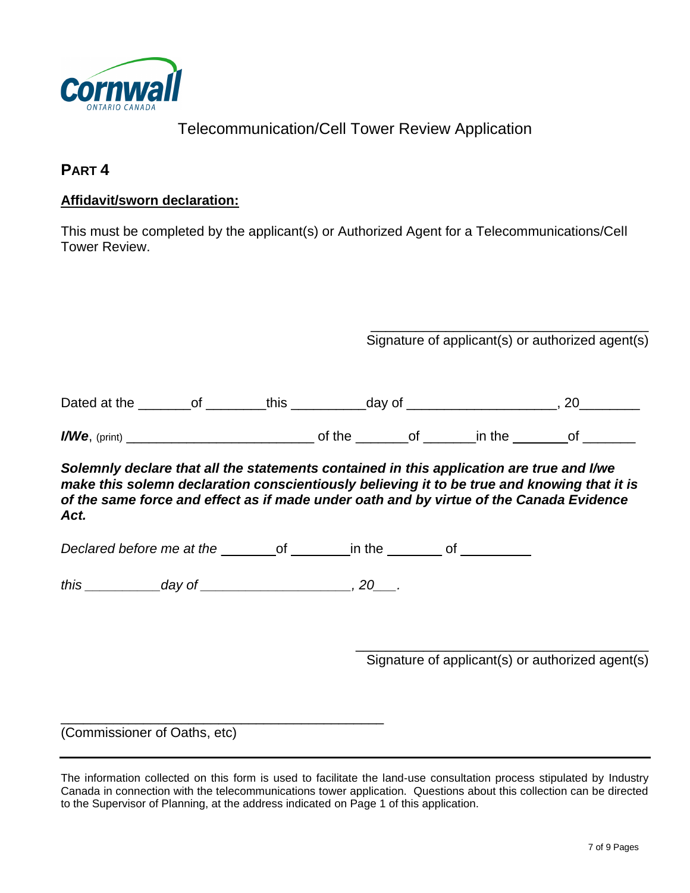

### **PART 4**

#### **Affidavit/sworn declaration:**

This must be completed by the applicant(s) or Authorized Agent for a Telecommunications/Cell Tower Review.

> \_\_\_\_\_\_\_\_\_\_\_\_\_\_\_\_\_\_\_\_\_\_\_\_\_\_\_\_\_\_\_\_\_\_\_\_\_ Signature of applicant(s) or authorized agent(s)

| $\mathcal{L}$<br>$\mathbf{a}$<br>TNA.<br>ud'<br><u>л</u> |  |  |  | . . |  |
|----------------------------------------------------------|--|--|--|-----|--|
|----------------------------------------------------------|--|--|--|-----|--|

*I/We*, (print) *I/We*, (print) *p* **of the of**   $\blacksquare$  **in the**  of

*Solemnly declare that all the statements contained in this application are true and I/we make this solemn declaration conscientiously believing it to be true and knowing that it is of the same force and effect as if made under oath and by virtue of the Canada Evidence Act.*

*Declared before me at the* \_\_\_\_\_\_\_\_of \_\_\_\_\_\_\_ in the \_\_\_\_\_\_\_\_ of \_\_\_\_\_\_\_\_\_\_\_\_\_\_\_

*this day of*  20 *.* 

\_\_\_\_\_\_\_\_\_\_\_\_\_\_\_\_\_\_\_\_\_\_\_\_\_\_\_\_\_\_\_\_\_\_\_\_\_\_\_\_\_\_\_

\_\_\_\_\_\_\_\_\_\_\_\_\_\_\_\_\_\_\_\_\_\_\_\_\_\_\_\_\_\_\_\_\_\_\_\_\_\_\_ Signature of applicant(s) or authorized agent(s)

(Commissioner of Oaths, etc)

The information collected on this form is used to facilitate the land-use consultation process stipulated by Industry Canada in connection with the telecommunications tower application. Questions about this collection can be directed to the Supervisor of Planning, at the address indicated on Page 1 of this application.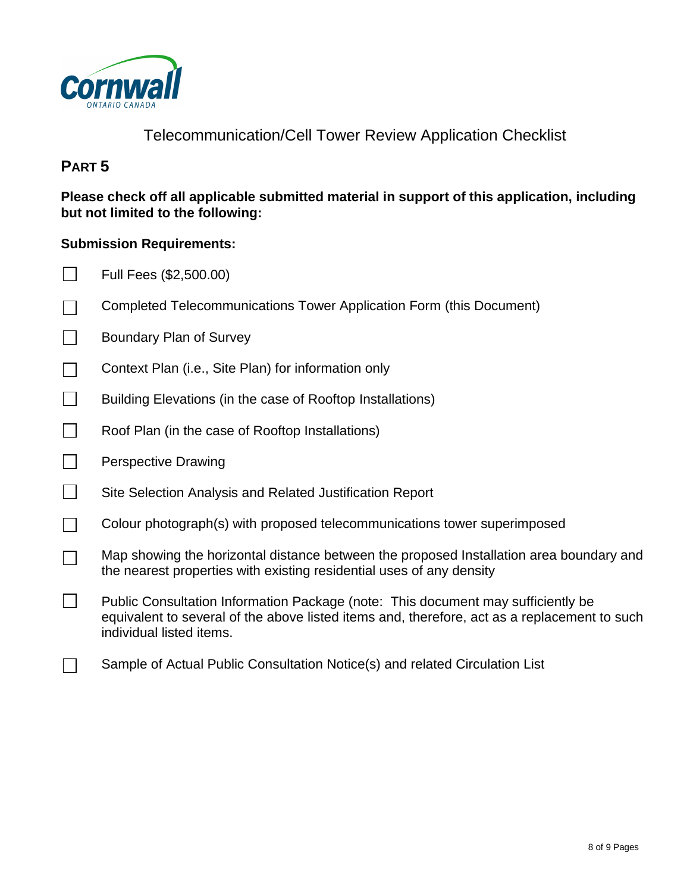

# **PART 5**

**Please check off all applicable submitted material in support of this application, including but not limited to the following:**

#### **Submission Requirements:**

- $\Box$ Full Fees (\$2,500.00)
- Completed Telecommunications Tower Application Form (this Document)  $\Box$
- $\Box$ Boundary Plan of Survey
- $\Box$ Context Plan (i.e., Site Plan) for information only
- $\Box$ Building Elevations (in the case of Rooftop Installations)
- $\Box$ Roof Plan (in the case of Rooftop Installations)
- $\Box$ Perspective Drawing

 $\Box$ 

 $\vert \ \ \vert$ 

- $\blacksquare$ Site Selection Analysis and Related Justification Report
- $\Box$ Colour photograph(s) with proposed telecommunications tower superimposed
	- Map showing the horizontal distance between the proposed Installation area boundary and the nearest properties with existing residential uses of any density
	- Public Consultation Information Package (note: This document may sufficiently be equivalent to several of the above listed items and, therefore, act as a replacement to such individual listed items.
- $\Box$ Sample of Actual Public Consultation Notice(s) and related Circulation List